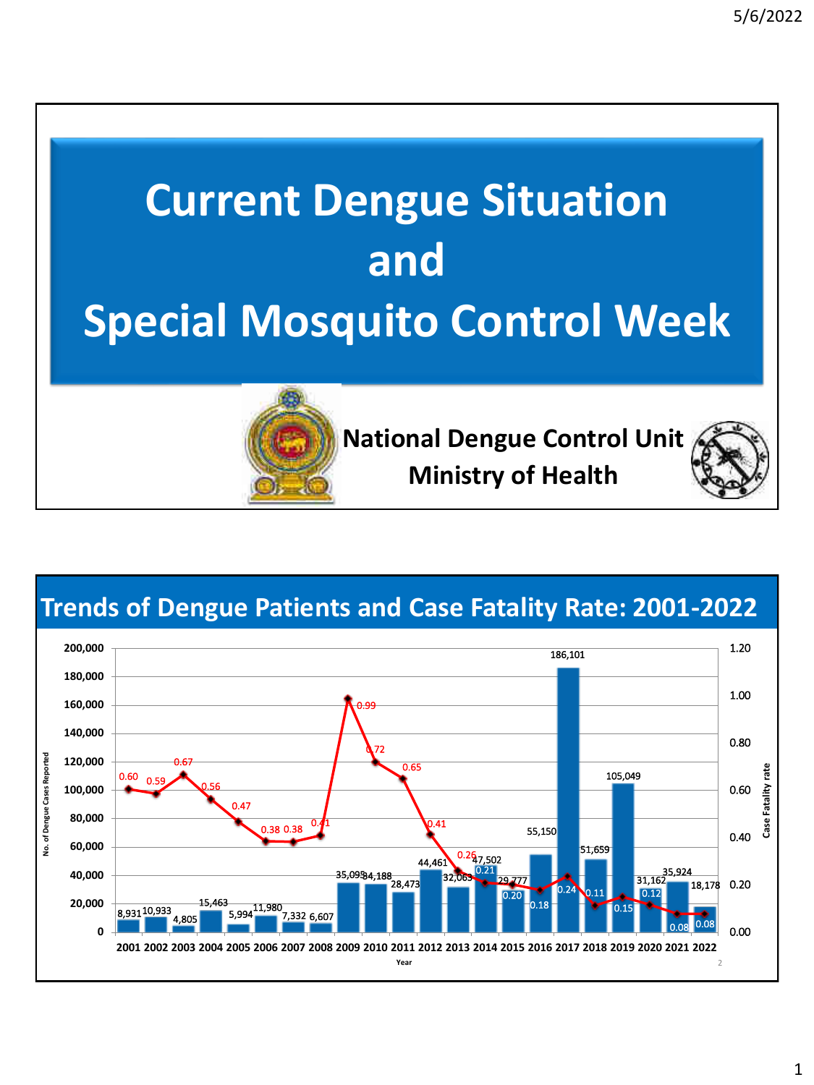

**Trends of Dengue Patients and Case Fatality Rate: 2001-2022**

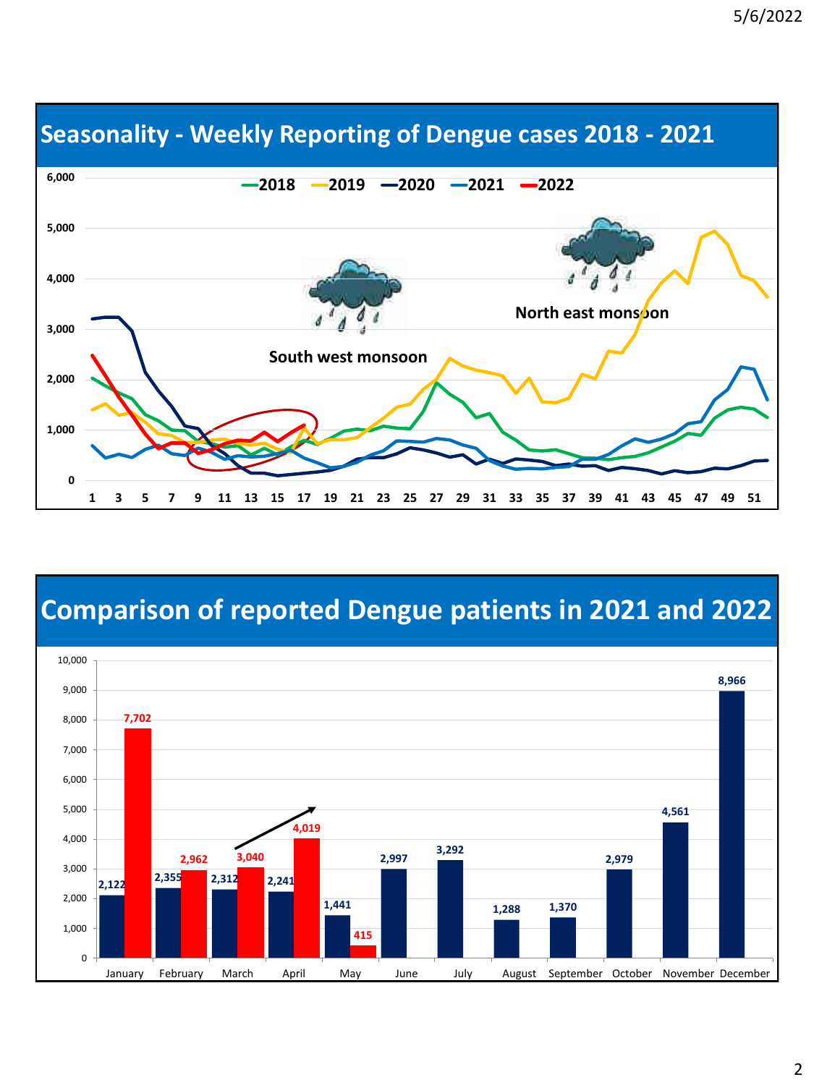

#### **Seasonality - Weekly Reporting of Dengue cases 2018 - 2021**

#### **Comparison of reported Dengue patients in 2021 and 2022**

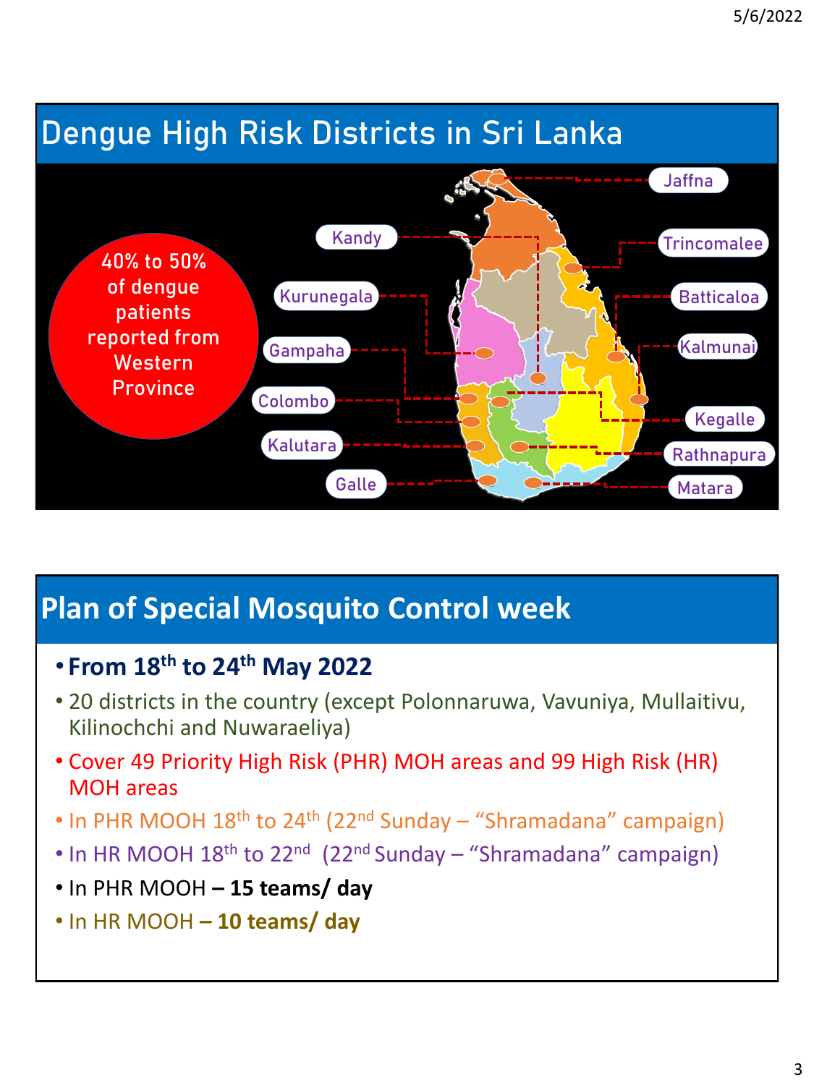# **Dengue High Risk Districts in Sri Lanka**



## **Plan of Special Mosquito Control week**

- **From 18th to 24th May 2022**
- 20 districts in the country (except Polonnaruwa, Vavuniya, Mullaitivu, Kilinochchi and Nuwaraeliya)
- Cover 49 Priority High Risk (PHR) MOH areas and 99 High Risk (HR) MOH areas
- In PHR MOOH 18<sup>th</sup> to 24<sup>th</sup> (22<sup>nd</sup> Sunday "Shramadana" campaign)
- In HR MOOH 18<sup>th</sup> to 22<sup>nd</sup> (22<sup>nd</sup> Sunday "Shramadana" campaign)
- In PHR MOOH **– 15 teams/ day**
- In HR MOOH **– 10 teams/ day**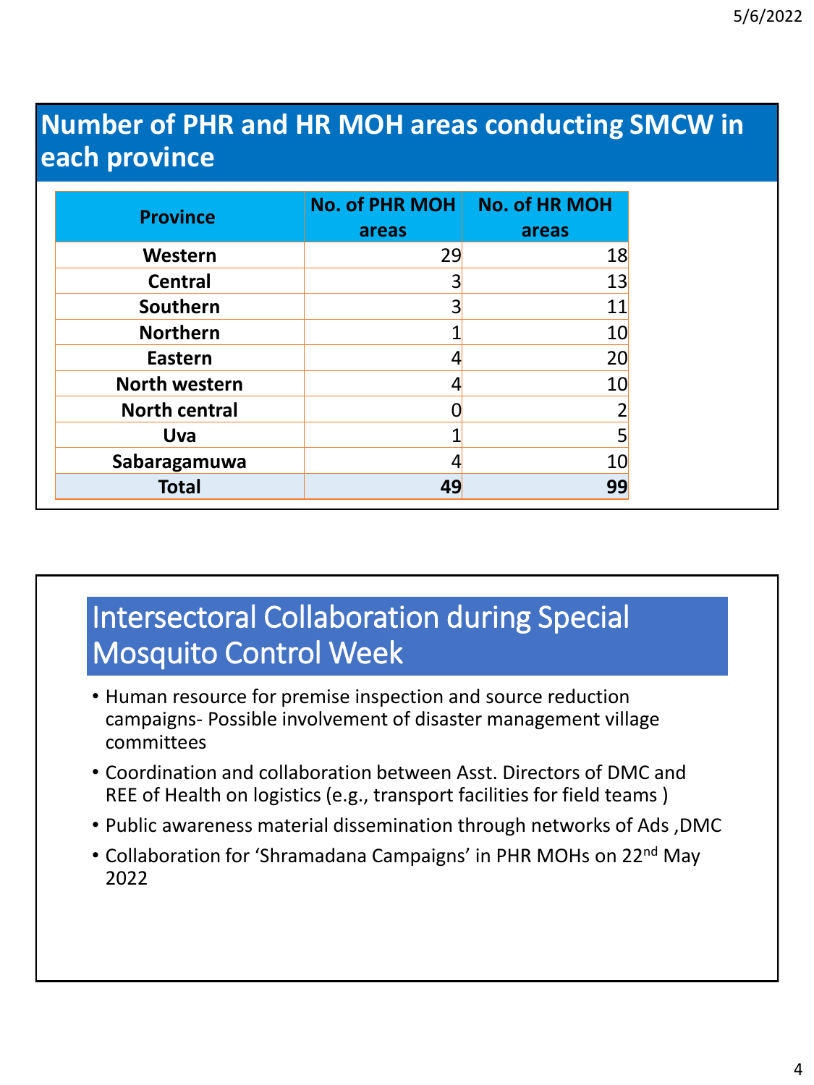### **Number of PHR and HR MOH areas conducting SMCW in each province**

| <b>Province</b>      | No. of PHR MOH<br>areas | <b>No. of HR MOH</b><br>areas |
|----------------------|-------------------------|-------------------------------|
| Western              | 29                      | 18                            |
| <b>Central</b>       | 3                       | 13                            |
| Southern             | 3                       | 11                            |
| <b>Northern</b>      |                         | 10                            |
| <b>Eastern</b>       |                         | 20                            |
| <b>North western</b> |                         | 10                            |
| <b>North central</b> |                         |                               |
| <b>Uva</b>           |                         | 5                             |
| Sabaragamuwa         |                         | 10                            |
| <b>Total</b>         | 49                      | 99                            |

## Intersectoral Collaboration during Special Mosquito Control Week

- Human resource for premise inspection and source reduction campaigns- Possible involvement of disaster management village committees
- Coordination and collaboration between Asst. Directors of DMC and REE of Health on logistics (e.g., transport facilities for field teams )
- Public awareness material dissemination through networks of Ads ,DMC
- Collaboration for 'Shramadana Campaigns' in PHR MOHs on 22<sup>nd</sup> May 2022